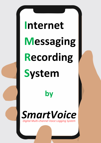# **Internet Messaging Recording System**

*Digital Multi-channel Voice Logging System SmartVoice*

**by**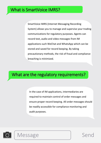SmartVoice IMRS (Internet Messaging Recording System) allows you to manage and supervise your trading communications for regulatory purposes. Agents can record text, audio and video messages from IM applications such WeChat and WhatsApp which can be stored and saved for record keeping. By taking precautionary methods, the risk of fraud and compliance breaching is minimized.

### What are the regulatory requirements?

In the case of IM applications, intermediaries are required to maintain control of order messages and ensure proper record keeping. All order messages should be readily accessible for compliance monitoring and audit purposes.



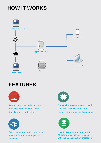## **HOW IT WORKS**



Local Access

## **FEATURES**



Save and view text, video and audio messages between your clients directly from your desktop



With low memory usage, save your memory for the more important activities



Our application operates quick and smoothly so you can save and retrieve information in a fast manner



Security is our number one priority. All data stored will be protected with the highest level of protection